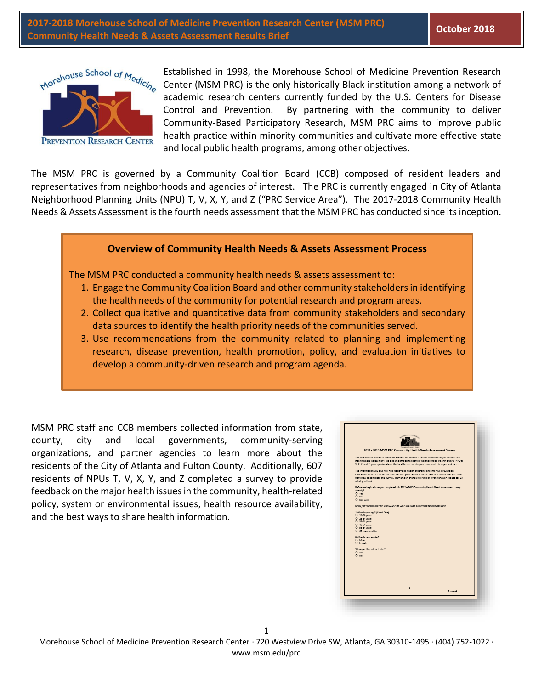**2017-2018 Morehouse School of Medicine Prevention Research Center (MSM PRC) Community Health Needs & Assets Assessment Results Brief October 2018**



Established in 1998, the Morehouse School of Medicine Prevention Research Center (MSM PRC) is the only historically Black institution among a network of academic research centers currently funded by the U.S. Centers for Disease Control and Prevention. By partnering with the community to deliver Community-Based Participatory Research, MSM PRC aims to improve public health practice within minority communities and cultivate more effective state and local public health programs, among other objectives.

The MSM PRC is governed by a Community Coalition Board (CCB) composed of resident leaders and representatives from neighborhoods and agencies of interest. The PRC is currently engaged in City of Atlanta Neighborhood Planning Units (NPU) T, V, X, Y, and Z ("PRC Service Area"). The 2017-2018 Community Health Needs & Assets Assessment is the fourth needs assessment that the MSM PRC has conducted since its inception.

## **Overview of Community Health Needs & Assets Assessment Process**

The MSM PRC conducted a community health needs & assets assessment to:

- 1. Engage the Community Coalition Board and other community stakeholders in identifying the health needs of the community for potential research and program areas.
- 2. Collect qualitative and quantitative data from community stakeholders and secondary data sources to identify the health priority needs of the communities served.
- 3. Use recommendations from the community related to planning and implementing research, disease prevention, health promotion, policy, and evaluation initiatives to develop a community-driven research and program agenda.

MSM PRC staff and CCB members collected information from state, county, city and local governments, community-serving organizations, and partner agencies to learn more about the residents of the City of Atlanta and Fulton County. Additionally, 607 residents of NPUs T, V, X, Y, and Z completed a survey to provide feedback on the major health issues in the community, health-related policy, system or environmental issues, health resource availability, and the best ways to share health information.

| 2012 - 2013 MSM PRC Community Health Needs Assessment Survey<br>The Morehouse School of Medicine Prevention Research Center is conducting its Community<br>Health Needs Assessment. As a neighborhood resident of Neighborhood Planning Units (NPUs)<br>V, X, Y, and Z, your opinion about the health concerns in your community is important to us.<br>The information you give will help us develop health programs and improve prevention<br>education services that can benefit you and your families. Please take ten minutes of your time<br>right now to complete this survey. Remember, there is no right or wrong answer. Please tell us<br>Before we begin - have you completed this 2012 - 2013 Community Health Needs Assessment survey<br>NOW, WE WOULD LIKE TO KNOW ABOUT WHO YOU ARE AND YOUR NEIGHBORHOOD<br>O 18-24 years<br>O 25-34 years<br>O 65 years or older<br>O Female<br>$\overline{1}$ |                                 |  |  |
|------------------------------------------------------------------------------------------------------------------------------------------------------------------------------------------------------------------------------------------------------------------------------------------------------------------------------------------------------------------------------------------------------------------------------------------------------------------------------------------------------------------------------------------------------------------------------------------------------------------------------------------------------------------------------------------------------------------------------------------------------------------------------------------------------------------------------------------------------------------------------------------------------------------|---------------------------------|--|--|
|                                                                                                                                                                                                                                                                                                                                                                                                                                                                                                                                                                                                                                                                                                                                                                                                                                                                                                                  |                                 |  |  |
|                                                                                                                                                                                                                                                                                                                                                                                                                                                                                                                                                                                                                                                                                                                                                                                                                                                                                                                  |                                 |  |  |
|                                                                                                                                                                                                                                                                                                                                                                                                                                                                                                                                                                                                                                                                                                                                                                                                                                                                                                                  |                                 |  |  |
|                                                                                                                                                                                                                                                                                                                                                                                                                                                                                                                                                                                                                                                                                                                                                                                                                                                                                                                  |                                 |  |  |
|                                                                                                                                                                                                                                                                                                                                                                                                                                                                                                                                                                                                                                                                                                                                                                                                                                                                                                                  |                                 |  |  |
|                                                                                                                                                                                                                                                                                                                                                                                                                                                                                                                                                                                                                                                                                                                                                                                                                                                                                                                  | what you think.                 |  |  |
|                                                                                                                                                                                                                                                                                                                                                                                                                                                                                                                                                                                                                                                                                                                                                                                                                                                                                                                  | already?                        |  |  |
|                                                                                                                                                                                                                                                                                                                                                                                                                                                                                                                                                                                                                                                                                                                                                                                                                                                                                                                  | $Q$ Yes                         |  |  |
|                                                                                                                                                                                                                                                                                                                                                                                                                                                                                                                                                                                                                                                                                                                                                                                                                                                                                                                  | $O$ No.                         |  |  |
|                                                                                                                                                                                                                                                                                                                                                                                                                                                                                                                                                                                                                                                                                                                                                                                                                                                                                                                  | O Not Sure                      |  |  |
|                                                                                                                                                                                                                                                                                                                                                                                                                                                                                                                                                                                                                                                                                                                                                                                                                                                                                                                  |                                 |  |  |
|                                                                                                                                                                                                                                                                                                                                                                                                                                                                                                                                                                                                                                                                                                                                                                                                                                                                                                                  | 1 What is your age? (Check One) |  |  |
|                                                                                                                                                                                                                                                                                                                                                                                                                                                                                                                                                                                                                                                                                                                                                                                                                                                                                                                  |                                 |  |  |
|                                                                                                                                                                                                                                                                                                                                                                                                                                                                                                                                                                                                                                                                                                                                                                                                                                                                                                                  | O 35-44 years                   |  |  |
|                                                                                                                                                                                                                                                                                                                                                                                                                                                                                                                                                                                                                                                                                                                                                                                                                                                                                                                  | O 45-54 years                   |  |  |
|                                                                                                                                                                                                                                                                                                                                                                                                                                                                                                                                                                                                                                                                                                                                                                                                                                                                                                                  | O 55-64 years                   |  |  |
|                                                                                                                                                                                                                                                                                                                                                                                                                                                                                                                                                                                                                                                                                                                                                                                                                                                                                                                  |                                 |  |  |
|                                                                                                                                                                                                                                                                                                                                                                                                                                                                                                                                                                                                                                                                                                                                                                                                                                                                                                                  | 2 What is your gender?          |  |  |
|                                                                                                                                                                                                                                                                                                                                                                                                                                                                                                                                                                                                                                                                                                                                                                                                                                                                                                                  | O Male                          |  |  |
|                                                                                                                                                                                                                                                                                                                                                                                                                                                                                                                                                                                                                                                                                                                                                                                                                                                                                                                  |                                 |  |  |
|                                                                                                                                                                                                                                                                                                                                                                                                                                                                                                                                                                                                                                                                                                                                                                                                                                                                                                                  | 3 Are you Hispanic or Latino?   |  |  |
|                                                                                                                                                                                                                                                                                                                                                                                                                                                                                                                                                                                                                                                                                                                                                                                                                                                                                                                  | O Yes                           |  |  |
|                                                                                                                                                                                                                                                                                                                                                                                                                                                                                                                                                                                                                                                                                                                                                                                                                                                                                                                  | $\Omega$ No.                    |  |  |
|                                                                                                                                                                                                                                                                                                                                                                                                                                                                                                                                                                                                                                                                                                                                                                                                                                                                                                                  |                                 |  |  |
|                                                                                                                                                                                                                                                                                                                                                                                                                                                                                                                                                                                                                                                                                                                                                                                                                                                                                                                  |                                 |  |  |
|                                                                                                                                                                                                                                                                                                                                                                                                                                                                                                                                                                                                                                                                                                                                                                                                                                                                                                                  |                                 |  |  |
|                                                                                                                                                                                                                                                                                                                                                                                                                                                                                                                                                                                                                                                                                                                                                                                                                                                                                                                  |                                 |  |  |
|                                                                                                                                                                                                                                                                                                                                                                                                                                                                                                                                                                                                                                                                                                                                                                                                                                                                                                                  |                                 |  |  |
|                                                                                                                                                                                                                                                                                                                                                                                                                                                                                                                                                                                                                                                                                                                                                                                                                                                                                                                  |                                 |  |  |
|                                                                                                                                                                                                                                                                                                                                                                                                                                                                                                                                                                                                                                                                                                                                                                                                                                                                                                                  |                                 |  |  |
| Survey #                                                                                                                                                                                                                                                                                                                                                                                                                                                                                                                                                                                                                                                                                                                                                                                                                                                                                                         |                                 |  |  |